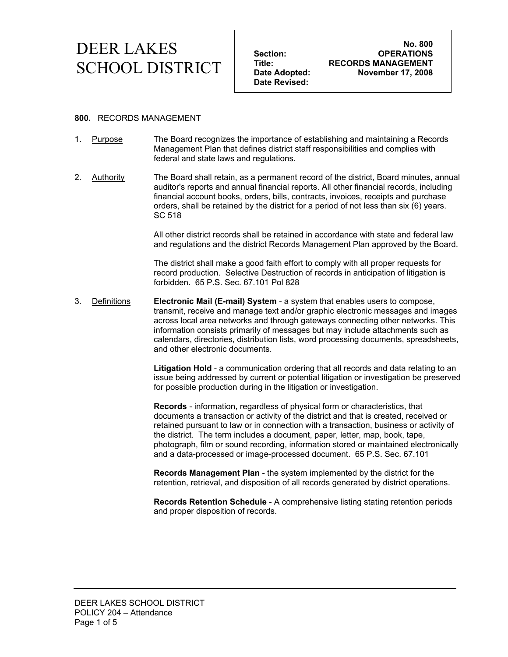## **No. 800**  DEER LAKES **SCHOOL DISTRICT** Title: RECORDS MANAGEMENT<br>
Date Adopted: November 17, 2008

 **Date Revised:** 

 **Section: OPERATIONS Date Adopted: November 17, 2008** 

### **800.** RECORDS MANAGEMENT

- 1. Purpose The Board recognizes the importance of establishing and maintaining a Records Management Plan that defines district staff responsibilities and complies with federal and state laws and regulations.
- 2. Authority The Board shall retain, as a permanent record of the district, Board minutes, annual auditor's reports and annual financial reports. All other financial records, including financial account books, orders, bills, contracts, invoices, receipts and purchase orders, shall be retained by the district for a period of not less than six (6) years. SC 518

All other district records shall be retained in accordance with state and federal law and regulations and the district Records Management Plan approved by the Board.

The district shall make a good faith effort to comply with all proper requests for record production. Selective Destruction of records in anticipation of litigation is forbidden. 65 P.S. Sec. 67.101 Pol 828

3. Definitions **Electronic Mail (E-mail) System** - a system that enables users to compose, transmit, receive and manage text and/or graphic electronic messages and images across local area networks and through gateways connecting other networks. This information consists primarily of messages but may include attachments such as calendars, directories, distribution lists, word processing documents, spreadsheets, and other electronic documents.

> **Litigation Hold** - a communication ordering that all records and data relating to an issue being addressed by current or potential litigation or investigation be preserved for possible production during in the litigation or investigation.

> **Records** - information, regardless of physical form or characteristics, that documents a transaction or activity of the district and that is created, received or retained pursuant to law or in connection with a transaction, business or activity of the district. The term includes a document, paper, letter, map, book, tape, photograph, film or sound recording, information stored or maintained electronically and a data-processed or image-processed document. 65 P.S. Sec. 67.101

**Records Management Plan** - the system implemented by the district for the retention, retrieval, and disposition of all records generated by district operations.

**Records Retention Schedule** - A comprehensive listing stating retention periods and proper disposition of records.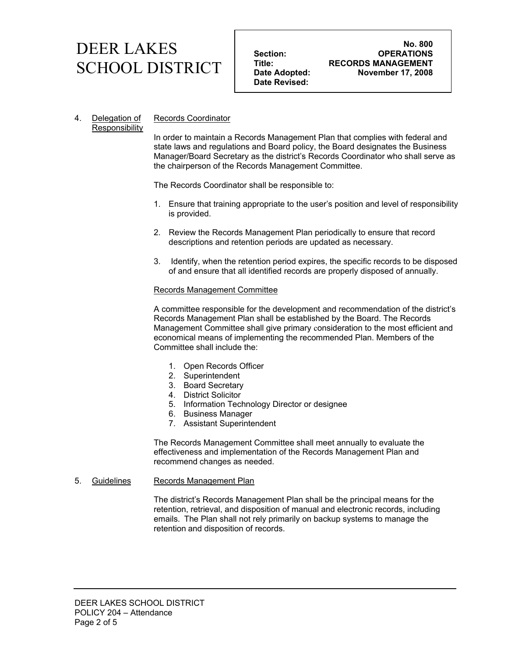## **No. 800**  DEER LAKES **SCHOOL DISTRICT** Title: RECORDS MANAGEMENT<br>
Date Adopted: November 17, 2008

 **Date Revised:** 

 **Section: OPERATIONS Date Adopted: November 17, 2008** 

#### 4. Delegation of Responsibility Records Coordinator

In order to maintain a Records Management Plan that complies with federal and state laws and regulations and Board policy, the Board designates the Business Manager/Board Secretary as the district's Records Coordinator who shall serve as the chairperson of the Records Management Committee.

The Records Coordinator shall be responsible to:

- 1. Ensure that training appropriate to the user's position and level of responsibility is provided.
- 2. Review the Records Management Plan periodically to ensure that record descriptions and retention periods are updated as necessary.
- 3. Identify, when the retention period expires, the specific records to be disposed of and ensure that all identified records are properly disposed of annually.

### Records Management Committee

A committee responsible for the development and recommendation of the district's Records Management Plan shall be established by the Board. The Records Management Committee shall give primary consideration to the most efficient and economical means of implementing the recommended Plan. Members of the Committee shall include the:

- 1. Open Records Officer
- 2. Superintendent
- 3. Board Secretary
- 4. District Solicitor
- 5. Information Technology Director or designee
- 6. Business Manager
- 7. Assistant Superintendent

The Records Management Committee shall meet annually to evaluate the effectiveness and implementation of the Records Management Plan and recommend changes as needed.

### 5. Guidelines Records Management Plan

The district's Records Management Plan shall be the principal means for the retention, retrieval, and disposition of manual and electronic records, including emails. The Plan shall not rely primarily on backup systems to manage the retention and disposition of records.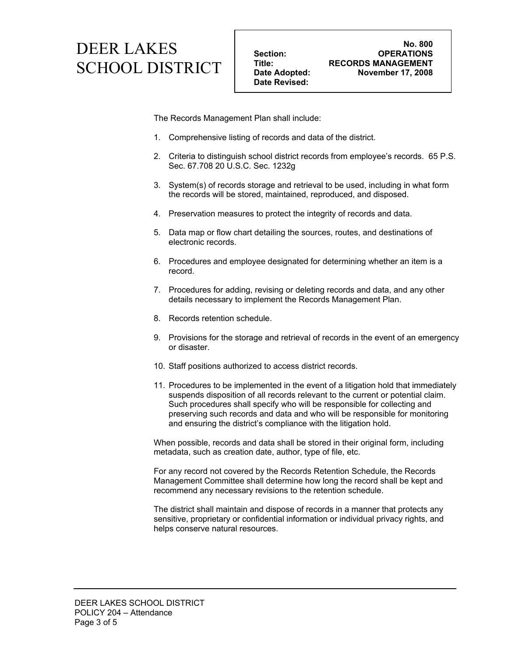# **No. 800**  DEER LAKES **SCHOOL DISTRICT** Title: RECORDS MANAGEMENT<br>
Date Adopted: November 17, 2008

The Records Management Plan shall include:

- 1. Comprehensive listing of records and data of the district.
- 2. Criteria to distinguish school district records from employee's records. 65 P.S. Sec. 67.708 20 U.S.C. Sec. 1232g
- 3. System(s) of records storage and retrieval to be used, including in what form the records will be stored, maintained, reproduced, and disposed.
- 4. Preservation measures to protect the integrity of records and data.
- 5. Data map or flow chart detailing the sources, routes, and destinations of electronic records.
- 6. Procedures and employee designated for determining whether an item is a record.
- 7. Procedures for adding, revising or deleting records and data, and any other details necessary to implement the Records Management Plan.
- 8. Records retention schedule.
- 9. Provisions for the storage and retrieval of records in the event of an emergency or disaster.
- 10. Staff positions authorized to access district records.
- 11. Procedures to be implemented in the event of a litigation hold that immediately suspends disposition of all records relevant to the current or potential claim. Such procedures shall specify who will be responsible for collecting and preserving such records and data and who will be responsible for monitoring and ensuring the district's compliance with the litigation hold.

When possible, records and data shall be stored in their original form, including metadata, such as creation date, author, type of file, etc.

For any record not covered by the Records Retention Schedule, the Records Management Committee shall determine how long the record shall be kept and recommend any necessary revisions to the retention schedule.

The district shall maintain and dispose of records in a manner that protects any sensitive, proprietary or confidential information or individual privacy rights, and helps conserve natural resources.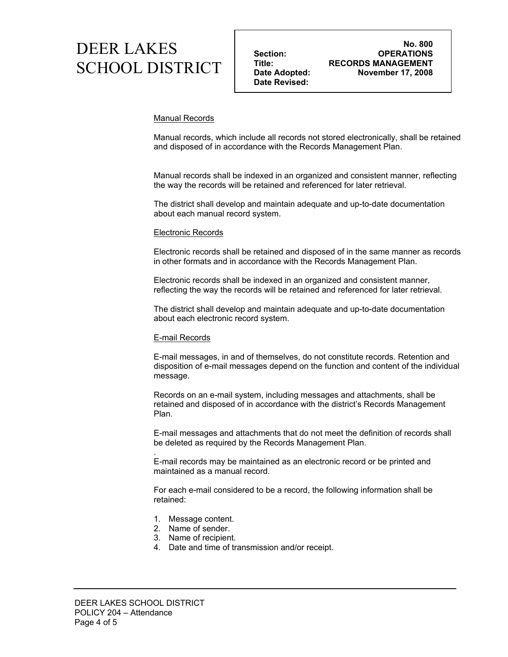## **No. 800**  DEER LAKES **COLLOOI DICTDICT** | Title: RECORDS MANAGEMENT SCHOOL DISTRICT | Title: RECORDS MANAGEMENT<br>
Date Adopted: November 17, 2008

 **Date Revised:** 

 **Section: OPERATIONS** 

### Manual Records

Manual records, which include all records not stored electronically, shall be retained and disposed of in accordance with the Records Management Plan.

Manual records shall be indexed in an organized and consistent manner, reflecting the way the records will be retained and referenced for later retrieval.

The district shall develop and maintain adequate and up-to-date documentation about each manual record system.

### Electronic Records

Electronic records shall be retained and disposed of in the same manner as records in other formats and in accordance with the Records Management Plan.

Electronic records shall be indexed in an organized and consistent manner, reflecting the way the records will be retained and referenced for later retrieval.

The district shall develop and maintain adequate and up-to-date documentation about each electronic record system.

### E-mail Records

E-mail messages, in and of themselves, do not constitute records. Retention and disposition of e-mail messages depend on the function and content of the individual message.

Records on an e-mail system, including messages and attachments, shall be retained and disposed of in accordance with the district's Records Management Plan.

E-mail messages and attachments that do not meet the definition of records shall be deleted as required by the Records Management Plan.

. E-mail records may be maintained as an electronic record or be printed and maintained as a manual record.

For each e-mail considered to be a record, the following information shall be retained:

- 1. Message content.
- 2. Name of sender.
- 3. Name of recipient.
- 4. Date and time of transmission and/or receipt.